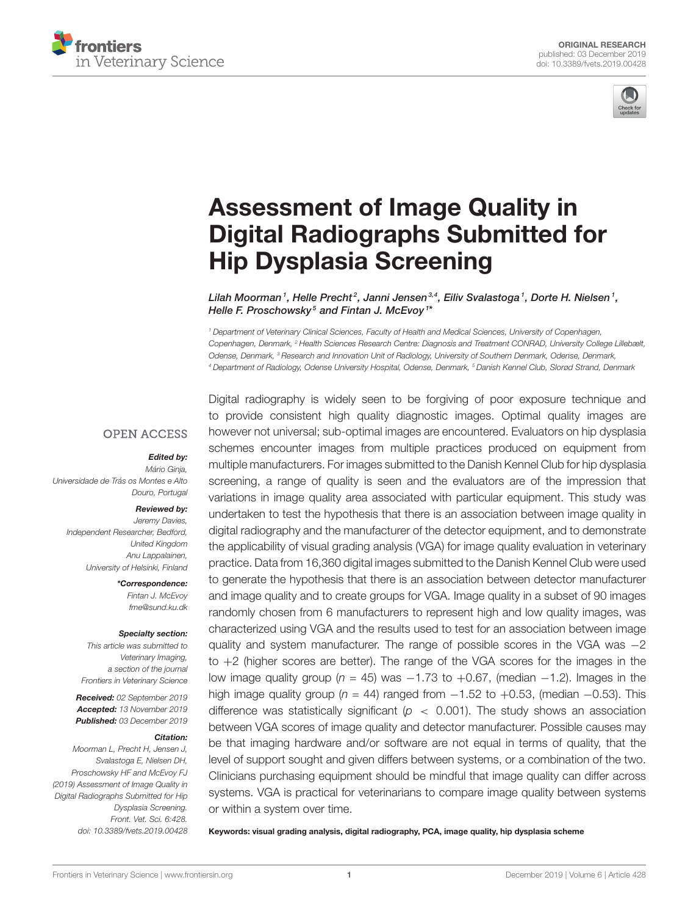



# Assessment of Image Quality in [Digital Radiographs Submitted for](https://www.frontiersin.org/articles/10.3389/fvets.2019.00428/full) Hip Dysplasia Screening

Lilah Moorman1, [Helle Precht](http://loop.frontiersin.org/people/854309/overview) $^2$ , [Janni Jensen](http://loop.frontiersin.org/people/809734/overview) $^{3,4}$ , Eiliv Svalastoga1, Dorte H. Nielsen1, [Helle F. Proschowsky](http://loop.frontiersin.org/people/854078/overview)<sup>5</sup> and [Fintan J. McEvoy](http://loop.frontiersin.org/people/188934/overview)<sup>1\*</sup>

<sup>1</sup> Department of Veterinary Clinical Sciences, Faculty of Health and Medical Sciences, University of Copenhagen, Copenhagen, Denmark, <sup>2</sup> Health Sciences Research Centre: Diagnosis and Treatment CONRAD, University College Lillebælt, Odense, Denmark, <sup>3</sup> Research and Innovation Unit of Radiology, University of Southern Denmark, Odense, Denmark, <sup>4</sup> Department of Radiology, Odense University Hospital, Odense, Denmark, <sup>5</sup> Danish Kennel Club, Slorød Strand, Denmark

#### **OPEN ACCESS**

#### Edited by:

Mário Ginja, Universidade de Trás os Montes e Alto Douro, Portugal

#### Reviewed by:

Jeremy Davies, Independent Researcher, Bedford, United Kingdom Anu Lappalainen, University of Helsinki, Finland

> \*Correspondence: Fintan J. McEvoy [fme@sund.ku.dk](mailto:fme@sund.ku.dk)

#### Specialty section:

This article was submitted to Veterinary Imaging, a section of the journal Frontiers in Veterinary Science

Received: 02 September 2019 Accepted: 13 November 2019 Published: 03 December 2019

#### Citation:

Moorman L, Precht H, Jensen J, Svalastoga E, Nielsen DH, Proschowsky HF and McEvoy FJ (2019) Assessment of Image Quality in Digital Radiographs Submitted for Hip Dysplasia Screening. Front. Vet. Sci. 6:428. doi: [10.3389/fvets.2019.00428](https://doi.org/10.3389/fvets.2019.00428)

Digital radiography is widely seen to be forgiving of poor exposure technique and to provide consistent high quality diagnostic images. Optimal quality images are however not universal; sub-optimal images are encountered. Evaluators on hip dysplasia schemes encounter images from multiple practices produced on equipment from multiple manufacturers. For images submitted to the Danish Kennel Club for hip dysplasia screening, a range of quality is seen and the evaluators are of the impression that variations in image quality area associated with particular equipment. This study was undertaken to test the hypothesis that there is an association between image quality in digital radiography and the manufacturer of the detector equipment, and to demonstrate the applicability of visual grading analysis (VGA) for image quality evaluation in veterinary practice. Data from 16,360 digital images submitted to the Danish Kennel Club were used to generate the hypothesis that there is an association between detector manufacturer and image quality and to create groups for VGA. Image quality in a subset of 90 images randomly chosen from 6 manufacturers to represent high and low quality images, was characterized using VGA and the results used to test for an association between image quality and system manufacturer. The range of possible scores in the VGA was −2 to +2 (higher scores are better). The range of the VGA scores for the images in the low image quality group ( $n = 45$ ) was  $-1.73$  to  $+0.67$ , (median  $-1.2$ ). Images in the high image quality group ( $n = 44$ ) ranged from  $-1.52$  to  $+0.53$ , (median  $-0.53$ ). This difference was statistically significant ( $p \sim 0.001$ ). The study shows an association between VGA scores of image quality and detector manufacturer. Possible causes may be that imaging hardware and/or software are not equal in terms of quality, that the level of support sought and given differs between systems, or a combination of the two. Clinicians purchasing equipment should be mindful that image quality can differ across systems. VGA is practical for veterinarians to compare image quality between systems or within a system over time.

Keywords: visual grading analysis, digital radiography, PCA, image quality, hip dysplasia scheme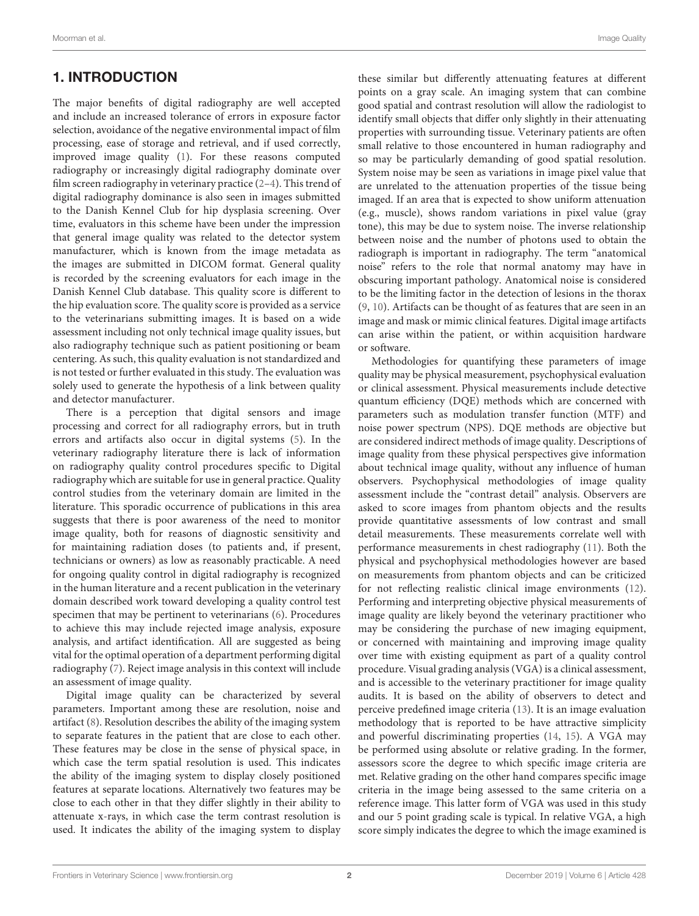# 1. INTRODUCTION

The major benefits of digital radiography are well accepted and include an increased tolerance of errors in exposure factor selection, avoidance of the negative environmental impact of film processing, ease of storage and retrieval, and if used correctly, improved image quality [\(1\)](#page-6-0). For these reasons computed radiography or increasingly digital radiography dominate over film screen radiography in veterinary practice [\(2](#page-6-1)[–4\)](#page-6-2). This trend of digital radiography dominance is also seen in images submitted to the Danish Kennel Club for hip dysplasia screening. Over time, evaluators in this scheme have been under the impression that general image quality was related to the detector system manufacturer, which is known from the image metadata as the images are submitted in DICOM format. General quality is recorded by the screening evaluators for each image in the Danish Kennel Club database. This quality score is different to the hip evaluation score. The quality score is provided as a service to the veterinarians submitting images. It is based on a wide assessment including not only technical image quality issues, but also radiography technique such as patient positioning or beam centering. As such, this quality evaluation is not standardized and is not tested or further evaluated in this study. The evaluation was solely used to generate the hypothesis of a link between quality and detector manufacturer.

There is a perception that digital sensors and image processing and correct for all radiography errors, but in truth errors and artifacts also occur in digital systems [\(5\)](#page-6-3). In the veterinary radiography literature there is lack of information on radiography quality control procedures specific to Digital radiography which are suitable for use in general practice. Quality control studies from the veterinary domain are limited in the literature. This sporadic occurrence of publications in this area suggests that there is poor awareness of the need to monitor image quality, both for reasons of diagnostic sensitivity and for maintaining radiation doses (to patients and, if present, technicians or owners) as low as reasonably practicable. A need for ongoing quality control in digital radiography is recognized in the human literature and a recent publication in the veterinary domain described work toward developing a quality control test specimen that may be pertinent to veterinarians [\(6\)](#page-6-4). Procedures to achieve this may include rejected image analysis, exposure analysis, and artifact identification. All are suggested as being vital for the optimal operation of a department performing digital radiography [\(7\)](#page-6-5). Reject image analysis in this context will include an assessment of image quality.

Digital image quality can be characterized by several parameters. Important among these are resolution, noise and artifact [\(8\)](#page-6-6). Resolution describes the ability of the imaging system to separate features in the patient that are close to each other. These features may be close in the sense of physical space, in which case the term spatial resolution is used. This indicates the ability of the imaging system to display closely positioned features at separate locations. Alternatively two features may be close to each other in that they differ slightly in their ability to attenuate x-rays, in which case the term contrast resolution is used. It indicates the ability of the imaging system to display these similar but differently attenuating features at different points on a gray scale. An imaging system that can combine good spatial and contrast resolution will allow the radiologist to identify small objects that differ only slightly in their attenuating properties with surrounding tissue. Veterinary patients are often small relative to those encountered in human radiography and so may be particularly demanding of good spatial resolution. System noise may be seen as variations in image pixel value that are unrelated to the attenuation properties of the tissue being imaged. If an area that is expected to show uniform attenuation (e.g., muscle), shows random variations in pixel value (gray tone), this may be due to system noise. The inverse relationship between noise and the number of photons used to obtain the radiograph is important in radiography. The term "anatomical noise" refers to the role that normal anatomy may have in obscuring important pathology. Anatomical noise is considered to be the limiting factor in the detection of lesions in the thorax [\(9,](#page-6-7) [10\)](#page-6-8). Artifacts can be thought of as features that are seen in an image and mask or mimic clinical features. Digital image artifacts can arise within the patient, or within acquisition hardware or software.

Methodologies for quantifying these parameters of image quality may be physical measurement, psychophysical evaluation or clinical assessment. Physical measurements include detective quantum efficiency (DQE) methods which are concerned with parameters such as modulation transfer function (MTF) and noise power spectrum (NPS). DQE methods are objective but are considered indirect methods of image quality. Descriptions of image quality from these physical perspectives give information about technical image quality, without any influence of human observers. Psychophysical methodologies of image quality assessment include the "contrast detail" analysis. Observers are asked to score images from phantom objects and the results provide quantitative assessments of low contrast and small detail measurements. These measurements correlate well with performance measurements in chest radiography [\(11\)](#page-6-9). Both the physical and psychophysical methodologies however are based on measurements from phantom objects and can be criticized for not reflecting realistic clinical image environments [\(12\)](#page-6-10). Performing and interpreting objective physical measurements of image quality are likely beyond the veterinary practitioner who may be considering the purchase of new imaging equipment, or concerned with maintaining and improving image quality over time with existing equipment as part of a quality control procedure. Visual grading analysis (VGA) is a clinical assessment, and is accessible to the veterinary practitioner for image quality audits. It is based on the ability of observers to detect and perceive predefined image criteria [\(13\)](#page-6-11). It is an image evaluation methodology that is reported to be have attractive simplicity and powerful discriminating properties [\(14,](#page-6-12) [15\)](#page-6-13). A VGA may be performed using absolute or relative grading. In the former, assessors score the degree to which specific image criteria are met. Relative grading on the other hand compares specific image criteria in the image being assessed to the same criteria on a reference image. This latter form of VGA was used in this study and our 5 point grading scale is typical. In relative VGA, a high score simply indicates the degree to which the image examined is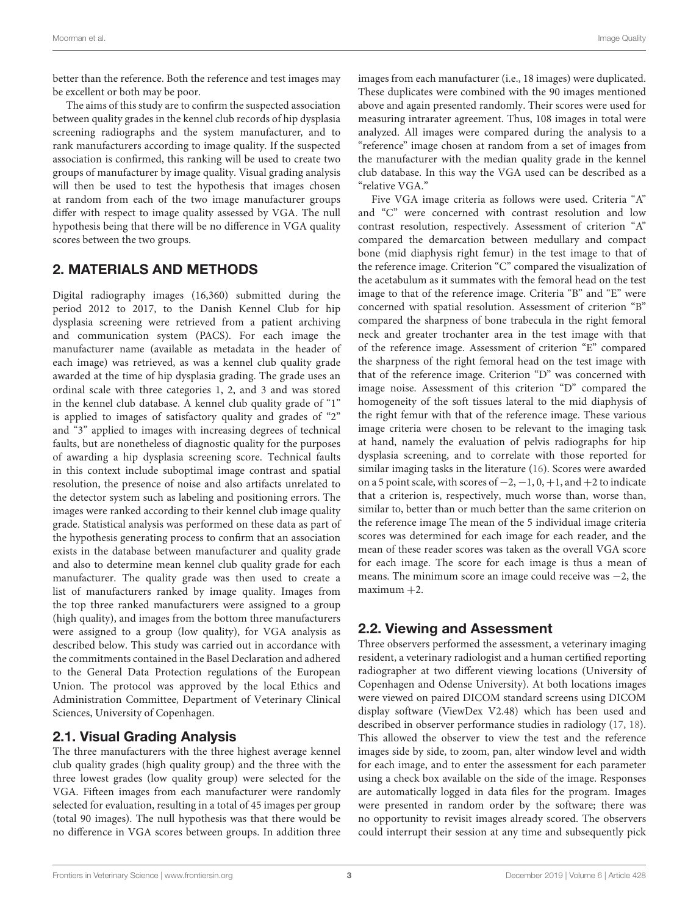better than the reference. Both the reference and test images may be excellent or both may be poor.

The aims of this study are to confirm the suspected association between quality grades in the kennel club records of hip dysplasia screening radiographs and the system manufacturer, and to rank manufacturers according to image quality. If the suspected association is confirmed, this ranking will be used to create two groups of manufacturer by image quality. Visual grading analysis will then be used to test the hypothesis that images chosen at random from each of the two image manufacturer groups differ with respect to image quality assessed by VGA. The null hypothesis being that there will be no difference in VGA quality scores between the two groups.

### 2. MATERIALS AND METHODS

Digital radiography images (16,360) submitted during the period 2012 to 2017, to the Danish Kennel Club for hip dysplasia screening were retrieved from a patient archiving and communication system (PACS). For each image the manufacturer name (available as metadata in the header of each image) was retrieved, as was a kennel club quality grade awarded at the time of hip dysplasia grading. The grade uses an ordinal scale with three categories 1, 2, and 3 and was stored in the kennel club database. A kennel club quality grade of "1" is applied to images of satisfactory quality and grades of "2" and "3" applied to images with increasing degrees of technical faults, but are nonetheless of diagnostic quality for the purposes of awarding a hip dysplasia screening score. Technical faults in this context include suboptimal image contrast and spatial resolution, the presence of noise and also artifacts unrelated to the detector system such as labeling and positioning errors. The images were ranked according to their kennel club image quality grade. Statistical analysis was performed on these data as part of the hypothesis generating process to confirm that an association exists in the database between manufacturer and quality grade and also to determine mean kennel club quality grade for each manufacturer. The quality grade was then used to create a list of manufacturers ranked by image quality. Images from the top three ranked manufacturers were assigned to a group (high quality), and images from the bottom three manufacturers were assigned to a group (low quality), for VGA analysis as described below. This study was carried out in accordance with the commitments contained in the Basel Declaration and adhered to the General Data Protection regulations of the European Union. The protocol was approved by the local Ethics and Administration Committee, Department of Veterinary Clinical Sciences, University of Copenhagen.

### 2.1. Visual Grading Analysis

The three manufacturers with the three highest average kennel club quality grades (high quality group) and the three with the three lowest grades (low quality group) were selected for the VGA. Fifteen images from each manufacturer were randomly selected for evaluation, resulting in a total of 45 images per group (total 90 images). The null hypothesis was that there would be no difference in VGA scores between groups. In addition three images from each manufacturer (i.e., 18 images) were duplicated. These duplicates were combined with the 90 images mentioned above and again presented randomly. Their scores were used for measuring intrarater agreement. Thus, 108 images in total were analyzed. All images were compared during the analysis to a "reference" image chosen at random from a set of images from the manufacturer with the median quality grade in the kennel club database. In this way the VGA used can be described as a "relative VGA."

Five VGA image criteria as follows were used. Criteria "A" and "C" were concerned with contrast resolution and low contrast resolution, respectively. Assessment of criterion "A" compared the demarcation between medullary and compact bone (mid diaphysis right femur) in the test image to that of the reference image. Criterion "C" compared the visualization of the acetabulum as it summates with the femoral head on the test image to that of the reference image. Criteria "B" and "E" were concerned with spatial resolution. Assessment of criterion "B" compared the sharpness of bone trabecula in the right femoral neck and greater trochanter area in the test image with that of the reference image. Assessment of criterion "E" compared the sharpness of the right femoral head on the test image with that of the reference image. Criterion "D" was concerned with image noise. Assessment of this criterion "D" compared the homogeneity of the soft tissues lateral to the mid diaphysis of the right femur with that of the reference image. These various image criteria were chosen to be relevant to the imaging task at hand, namely the evaluation of pelvis radiographs for hip dysplasia screening, and to correlate with those reported for similar imaging tasks in the literature [\(16\)](#page-6-14). Scores were awarded on a 5 point scale, with scores of −2, −1, 0, +1, and +2 to indicate that a criterion is, respectively, much worse than, worse than, similar to, better than or much better than the same criterion on the reference image The mean of the 5 individual image criteria scores was determined for each image for each reader, and the mean of these reader scores was taken as the overall VGA score for each image. The score for each image is thus a mean of means. The minimum score an image could receive was −2, the  $maximum +2$ .

# 2.2. Viewing and Assessment

Three observers performed the assessment, a veterinary imaging resident, a veterinary radiologist and a human certified reporting radiographer at two different viewing locations (University of Copenhagen and Odense University). At both locations images were viewed on paired DICOM standard screens using DICOM display software (ViewDex V2.48) which has been used and described in observer performance studies in radiology [\(17,](#page-6-15) [18\)](#page-6-16). This allowed the observer to view the test and the reference images side by side, to zoom, pan, alter window level and width for each image, and to enter the assessment for each parameter using a check box available on the side of the image. Responses are automatically logged in data files for the program. Images were presented in random order by the software; there was no opportunity to revisit images already scored. The observers could interrupt their session at any time and subsequently pick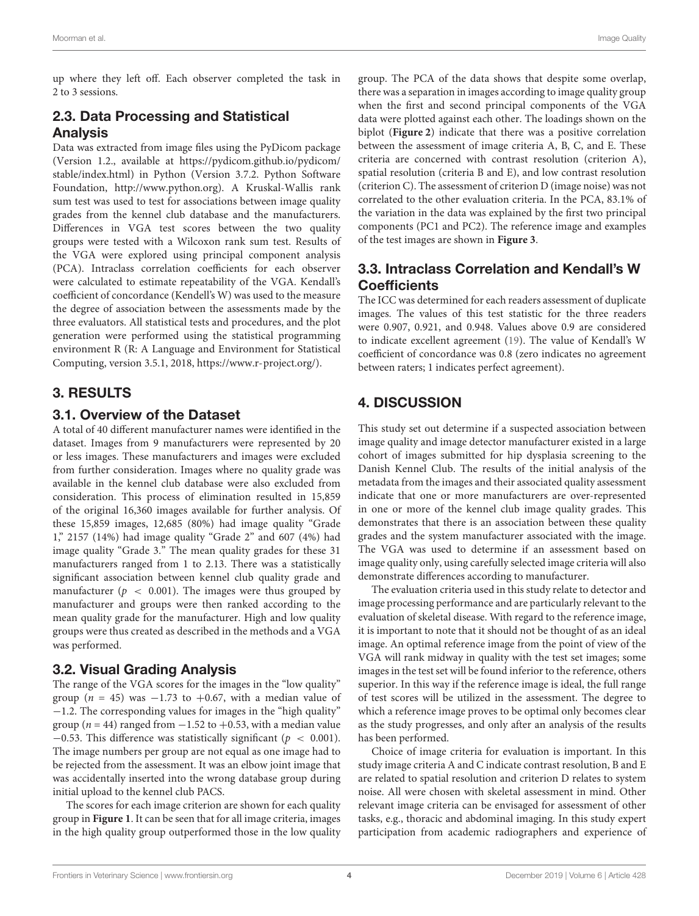up where they left off. Each observer completed the task in 2 to 3 sessions.

# 2.3. Data Processing and Statistical Analysis

Data was extracted from image files using the PyDicom package (Version 1.2., available at [https://pydicom.github.io/pydicom/](https://pydicom.github.io/pydicom/stable/index.html) [stable/index.html\)](https://pydicom.github.io/pydicom/stable/index.html) in Python (Version 3.7.2. Python Software Foundation, [http://www.python.org\)](http://www.python.org). A Kruskal-Wallis rank sum test was used to test for associations between image quality grades from the kennel club database and the manufacturers. Differences in VGA test scores between the two quality groups were tested with a Wilcoxon rank sum test. Results of the VGA were explored using principal component analysis (PCA). Intraclass correlation coefficients for each observer were calculated to estimate repeatability of the VGA. Kendall's coefficient of concordance (Kendell's W) was used to the measure the degree of association between the assessments made by the three evaluators. All statistical tests and procedures, and the plot generation were performed using the statistical programming environment R (R: A Language and Environment for Statistical Computing, version 3.5.1, 2018, [https://www.r-project.org/\)](https://www.r-project.org/).

# 3. RESULTS

### 3.1. Overview of the Dataset

A total of 40 different manufacturer names were identified in the dataset. Images from 9 manufacturers were represented by 20 or less images. These manufacturers and images were excluded from further consideration. Images where no quality grade was available in the kennel club database were also excluded from consideration. This process of elimination resulted in 15,859 of the original 16,360 images available for further analysis. Of these 15,859 images, 12,685 (80%) had image quality "Grade 1," 2157 (14%) had image quality "Grade 2" and 607 (4%) had image quality "Grade 3." The mean quality grades for these 31 manufacturers ranged from 1 to 2.13. There was a statistically significant association between kennel club quality grade and manufacturer ( $p < 0.001$ ). The images were thus grouped by manufacturer and groups were then ranked according to the mean quality grade for the manufacturer. High and low quality groups were thus created as described in the methods and a VGA was performed.

### 3.2. Visual Grading Analysis

The range of the VGA scores for the images in the "low quality" group ( $n = 45$ ) was  $-1.73$  to  $+0.67$ , with a median value of −1.2. The corresponding values for images in the "high quality" group ( $n = 44$ ) ranged from  $-1.52$  to  $+0.53$ , with a median value  $-0.53$ . This difference was statistically significant ( $p < 0.001$ ). The image numbers per group are not equal as one image had to be rejected from the assessment. It was an elbow joint image that was accidentally inserted into the wrong database group during initial upload to the kennel club PACS.

The scores for each image criterion are shown for each quality group in **[Figure 1](#page-4-0)**. It can be seen that for all image criteria, images in the high quality group outperformed those in the low quality group. The PCA of the data shows that despite some overlap, there was a separation in images according to image quality group when the first and second principal components of the VGA data were plotted against each other. The loadings shown on the biplot (**[Figure 2](#page-5-0)**) indicate that there was a positive correlation between the assessment of image criteria A, B, C, and E. These criteria are concerned with contrast resolution (criterion A), spatial resolution (criteria B and E), and low contrast resolution (criterion C). The assessment of criterion D (image noise) was not correlated to the other evaluation criteria. In the PCA, 83.1% of the variation in the data was explained by the first two principal components (PC1 and PC2). The reference image and examples of the test images are shown in **[Figure 3](#page-5-1)**.

# 3.3. Intraclass Correlation and Kendall's W **Coefficients**

The ICC was determined for each readers assessment of duplicate images. The values of this test statistic for the three readers were 0.907, 0.921, and 0.948. Values above 0.9 are considered to indicate excellent agreement [\(19\)](#page-6-17). The value of Kendall's W coefficient of concordance was 0.8 (zero indicates no agreement between raters; 1 indicates perfect agreement).

# 4. DISCUSSION

This study set out determine if a suspected association between image quality and image detector manufacturer existed in a large cohort of images submitted for hip dysplasia screening to the Danish Kennel Club. The results of the initial analysis of the metadata from the images and their associated quality assessment indicate that one or more manufacturers are over-represented in one or more of the kennel club image quality grades. This demonstrates that there is an association between these quality grades and the system manufacturer associated with the image. The VGA was used to determine if an assessment based on image quality only, using carefully selected image criteria will also demonstrate differences according to manufacturer.

The evaluation criteria used in this study relate to detector and image processing performance and are particularly relevant to the evaluation of skeletal disease. With regard to the reference image, it is important to note that it should not be thought of as an ideal image. An optimal reference image from the point of view of the VGA will rank midway in quality with the test set images; some images in the test set will be found inferior to the reference, others superior. In this way if the reference image is ideal, the full range of test scores will be utilized in the assessment. The degree to which a reference image proves to be optimal only becomes clear as the study progresses, and only after an analysis of the results has been performed.

Choice of image criteria for evaluation is important. In this study image criteria A and C indicate contrast resolution, B and E are related to spatial resolution and criterion D relates to system noise. All were chosen with skeletal assessment in mind. Other relevant image criteria can be envisaged for assessment of other tasks, e.g., thoracic and abdominal imaging. In this study expert participation from academic radiographers and experience of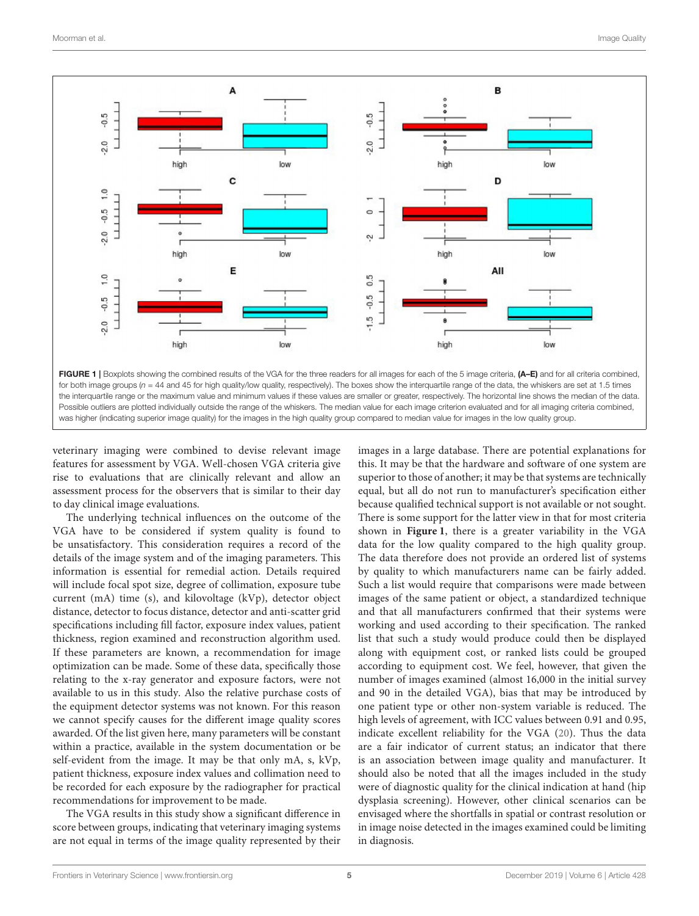

<span id="page-4-0"></span>was higher (indicating superior image quality) for the images in the high quality group compared to median value for images in the low quality group.

veterinary imaging were combined to devise relevant image features for assessment by VGA. Well-chosen VGA criteria give rise to evaluations that are clinically relevant and allow an assessment process for the observers that is similar to their day to day clinical image evaluations.

The underlying technical influences on the outcome of the VGA have to be considered if system quality is found to be unsatisfactory. This consideration requires a record of the details of the image system and of the imaging parameters. This information is essential for remedial action. Details required will include focal spot size, degree of collimation, exposure tube current (mA) time (s), and kilovoltage (kVp), detector object distance, detector to focus distance, detector and anti-scatter grid specifications including fill factor, exposure index values, patient thickness, region examined and reconstruction algorithm used. If these parameters are known, a recommendation for image optimization can be made. Some of these data, specifically those relating to the x-ray generator and exposure factors, were not available to us in this study. Also the relative purchase costs of the equipment detector systems was not known. For this reason we cannot specify causes for the different image quality scores awarded. Of the list given here, many parameters will be constant within a practice, available in the system documentation or be self-evident from the image. It may be that only mA, s, kVp, patient thickness, exposure index values and collimation need to be recorded for each exposure by the radiographer for practical recommendations for improvement to be made.

The VGA results in this study show a significant difference in score between groups, indicating that veterinary imaging systems are not equal in terms of the image quality represented by their images in a large database. There are potential explanations for this. It may be that the hardware and software of one system are superior to those of another; it may be that systems are technically equal, but all do not run to manufacturer's specification either because qualified technical support is not available or not sought. There is some support for the latter view in that for most criteria shown in **[Figure 1](#page-4-0)**, there is a greater variability in the VGA data for the low quality compared to the high quality group. The data therefore does not provide an ordered list of systems by quality to which manufacturers name can be fairly added. Such a list would require that comparisons were made between images of the same patient or object, a standardized technique and that all manufacturers confirmed that their systems were working and used according to their specification. The ranked list that such a study would produce could then be displayed along with equipment cost, or ranked lists could be grouped according to equipment cost. We feel, however, that given the number of images examined (almost 16,000 in the initial survey and 90 in the detailed VGA), bias that may be introduced by one patient type or other non-system variable is reduced. The high levels of agreement, with ICC values between 0.91 and 0.95, indicate excellent reliability for the VGA [\(20\)](#page-6-18). Thus the data are a fair indicator of current status; an indicator that there is an association between image quality and manufacturer. It should also be noted that all the images included in the study were of diagnostic quality for the clinical indication at hand (hip dysplasia screening). However, other clinical scenarios can be envisaged where the shortfalls in spatial or contrast resolution or in image noise detected in the images examined could be limiting in diagnosis.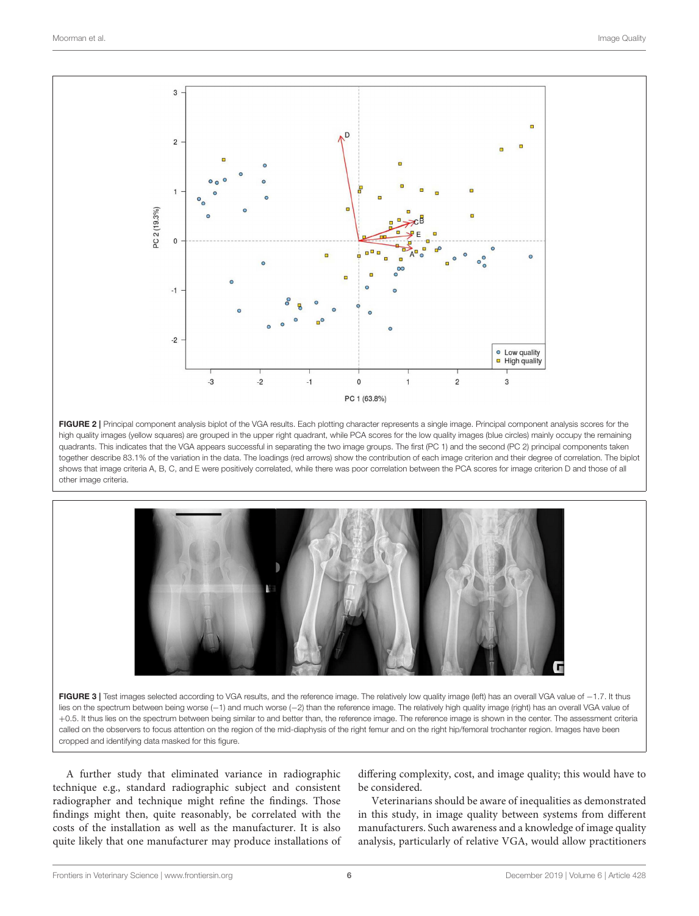

<span id="page-5-0"></span>FIGURE 2 | Principal component analysis biplot of the VGA results. Each plotting character represents a single image. Principal component analysis scores for the high quality images (yellow squares) are grouped in the upper right quadrant, while PCA scores for the low quality images (blue circles) mainly occupy the remaining quadrants. This indicates that the VGA appears successful in separating the two image groups. The first (PC 1) and the second (PC 2) principal components taken together describe 83.1% of the variation in the data. The loadings (red arrows) show the contribution of each image criterion and their degree of correlation. The biplot shows that image criteria A, B, C, and E were positively correlated, while there was poor correlation between the PCA scores for image criterion D and those of all other image criteria.



<span id="page-5-1"></span>FIGURE 3 | Test images selected according to VGA results, and the reference image. The relatively low quality image (left) has an overall VGA value of −1.7. It thus lies on the spectrum between being worse (-1) and much worse (-2) than the reference image. The relatively high quality image (right) has an overall VGA value of +0.5. It thus lies on the spectrum between being similar to and better than, the reference image. The reference image is shown in the center. The assessment criteria called on the observers to focus attention on the region of the mid-diaphysis of the right femur and on the right hip/femoral trochanter region. Images have been cropped and identifying data masked for this figure.

A further study that eliminated variance in radiographic technique e.g., standard radiographic subject and consistent radiographer and technique might refine the findings. Those findings might then, quite reasonably, be correlated with the costs of the installation as well as the manufacturer. It is also quite likely that one manufacturer may produce installations of

differing complexity, cost, and image quality; this would have to be considered.

Veterinarians should be aware of inequalities as demonstrated in this study, in image quality between systems from different manufacturers. Such awareness and a knowledge of image quality analysis, particularly of relative VGA, would allow practitioners